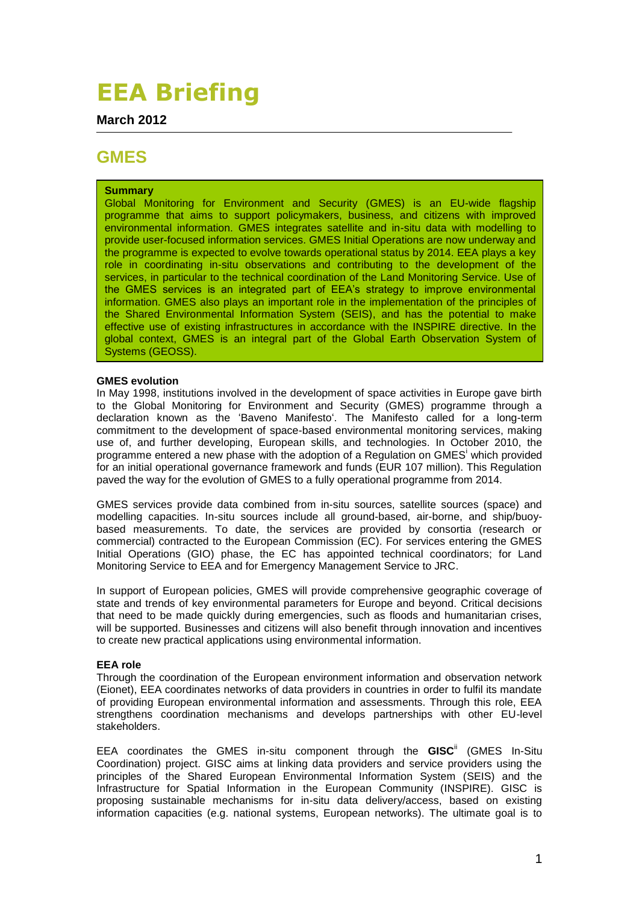# **EEA Briefing**

**March 2012**

# **GMES**

# **Summary**

Global Monitoring for Environment and Security (GMES) is an EU-wide flagship programme that aims to support policymakers, business, and citizens with improved environmental information. GMES integrates satellite and in-situ data with modelling to provide user-focused information services. GMES Initial Operations are now underway and the programme is expected to evolve towards operational status by 2014. EEA plays a key role in coordinating in-situ observations and contributing to the development of the services, in particular to the technical coordination of the Land Monitoring Service. Use of the GMES services is an integrated part of EEA"s strategy to improve environmental information. GMES also plays an important role in the implementation of the principles of the Shared Environmental Information System (SEIS), and has the potential to make effective use of existing infrastructures in accordance with the INSPIRE directive. In the global context, GMES is an integral part of the Global Earth Observation System of Systems (GEOSS).

## **GMES evolution**

In May 1998, institutions involved in the development of space activities in Europe gave birth to the Global Monitoring for Environment and Security (GMES) programme through a declaration known as the "Baveno Manifesto". The Manifesto called for a long-term commitment to the development of space-based environmental monitoring services, making use of, and further developing, European skills, and technologies. In October 2010, the programme entered a new phase with the adoption of a Regulation on GMES<sup>i</sup> which provided for an initial operational governance framework and funds (EUR 107 million). This Regulation paved the way for the evolution of GMES to a fully operational programme from 2014.

GMES services provide data combined from in-situ sources, satellite sources (space) and modelling capacities. In-situ sources include all ground-based, air-borne, and ship/buoybased measurements. To date, the services are provided by consortia (research or commercial) contracted to the European Commission (EC). For services entering the GMES Initial Operations (GIO) phase, the EC has appointed technical coordinators; for Land Monitoring Service to EEA and for Emergency Management Service to JRC.

In support of European policies, GMES will provide comprehensive geographic coverage of state and trends of key environmental parameters for Europe and beyond. Critical decisions that need to be made quickly during emergencies, such as floods and humanitarian crises, will be supported. Businesses and citizens will also benefit through innovation and incentives to create new practical applications using environmental information.

## **EEA role**

Through the coordination of the European environment information and observation network (Eionet), EEA coordinates networks of data providers in countries in order to fulfil its mandate of providing European environmental information and assessments. Through this role, EEA strengthens coordination mechanisms and develops partnerships with other EU-level stakeholders.

EEA coordinates the GMES in-situ component through the **GISC**ii (GMES In-Situ Coordination) project. GISC aims at linking data providers and service providers using the principles of the Shared European Environmental Information System [\(SEIS\)](http://ec.europa.eu/environment/seis/) and the Infrastructure for Spatial Information in the European Community [\(INSPIRE\)](http://inspire.jrc.ec.europa.eu/). GISC is proposing sustainable mechanisms for in-situ data delivery/access, based on existing information capacities (e.g. national systems, European networks). The ultimate goal is to